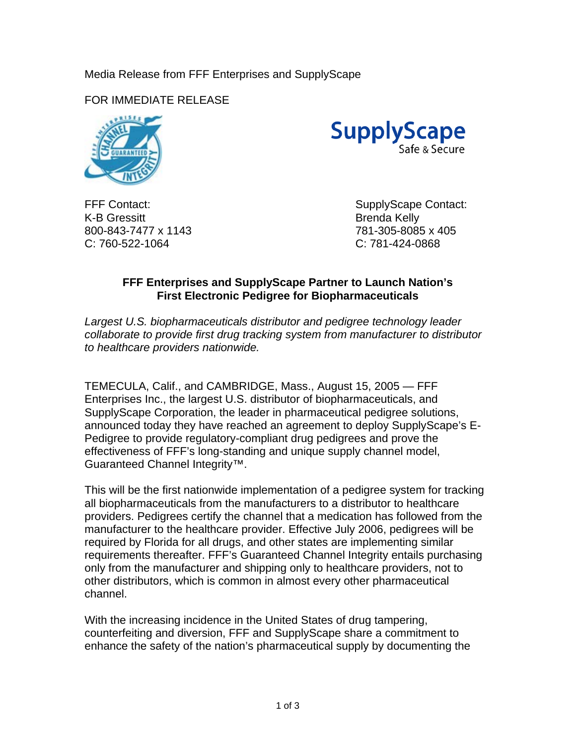## Media Release from FFF Enterprises and SupplyScape

FOR IMMEDIATE RELEASE



**SupplyScape** afe & Secure

K-B Gressitt Brenda Kelly 800-843-7477 x 1143 781-305-8085 x 405 C: 760-522-1064 C: 781-424-0868

FFF Contact: SupplyScape Contact:

## **FFF Enterprises and SupplyScape Partner to Launch Nation's First Electronic Pedigree for Biopharmaceuticals**

*Largest U.S. biopharmaceuticals distributor and pedigree technology leader collaborate to provide first drug tracking system from manufacturer to distributor to healthcare providers nationwide.* 

TEMECULA, Calif., and CAMBRIDGE, Mass., August 15, 2005 — FFF Enterprises Inc., the largest U.S. distributor of biopharmaceuticals, and SupplyScape Corporation, the leader in pharmaceutical pedigree solutions, announced today they have reached an agreement to deploy SupplyScape's E-Pedigree to provide regulatory-compliant drug pedigrees and prove the effectiveness of FFF's long-standing and unique supply channel model, Guaranteed Channel Integrity™.

This will be the first nationwide implementation of a pedigree system for tracking all biopharmaceuticals from the manufacturers to a distributor to healthcare providers. Pedigrees certify the channel that a medication has followed from the manufacturer to the healthcare provider. Effective July 2006, pedigrees will be required by Florida for all drugs, and other states are implementing similar requirements thereafter. FFF's Guaranteed Channel Integrity entails purchasing only from the manufacturer and shipping only to healthcare providers, not to other distributors, which is common in almost every other pharmaceutical channel.

With the increasing incidence in the United States of drug tampering, counterfeiting and diversion, FFF and SupplyScape share a commitment to enhance the safety of the nation's pharmaceutical supply by documenting the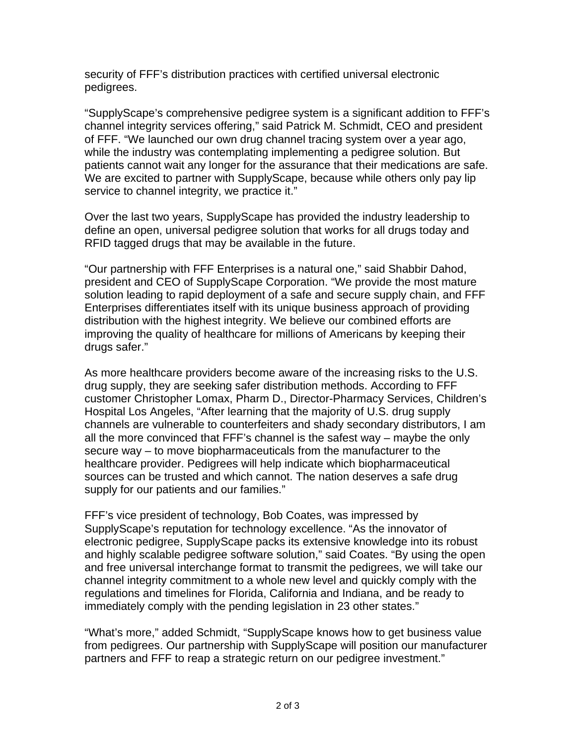security of FFF's distribution practices with certified universal electronic pedigrees.

"SupplyScape's comprehensive pedigree system is a significant addition to FFF's channel integrity services offering," said Patrick M. Schmidt, CEO and president of FFF. "We launched our own drug channel tracing system over a year ago, while the industry was contemplating implementing a pedigree solution. But patients cannot wait any longer for the assurance that their medications are safe. We are excited to partner with SupplyScape, because while others only pay lip service to channel integrity, we practice it."

Over the last two years, SupplyScape has provided the industry leadership to define an open, universal pedigree solution that works for all drugs today and RFID tagged drugs that may be available in the future.

"Our partnership with FFF Enterprises is a natural one," said Shabbir Dahod, president and CEO of SupplyScape Corporation. "We provide the most mature solution leading to rapid deployment of a safe and secure supply chain, and FFF Enterprises differentiates itself with its unique business approach of providing distribution with the highest integrity. We believe our combined efforts are improving the quality of healthcare for millions of Americans by keeping their drugs safer."

As more healthcare providers become aware of the increasing risks to the U.S. drug supply, they are seeking safer distribution methods. According to FFF customer Christopher Lomax, Pharm D., Director-Pharmacy Services, Children's Hospital Los Angeles, "After learning that the majority of U.S. drug supply channels are vulnerable to counterfeiters and shady secondary distributors, I am all the more convinced that FFF's channel is the safest way – maybe the only secure way – to move biopharmaceuticals from the manufacturer to the healthcare provider. Pedigrees will help indicate which biopharmaceutical sources can be trusted and which cannot. The nation deserves a safe drug supply for our patients and our families."

FFF's vice president of technology, Bob Coates, was impressed by SupplyScape's reputation for technology excellence. "As the innovator of electronic pedigree, SupplyScape packs its extensive knowledge into its robust and highly scalable pedigree software solution," said Coates. "By using the open and free universal interchange format to transmit the pedigrees, we will take our channel integrity commitment to a whole new level and quickly comply with the regulations and timelines for Florida, California and Indiana, and be ready to immediately comply with the pending legislation in 23 other states."

"What's more," added Schmidt, "SupplyScape knows how to get business value from pedigrees. Our partnership with SupplyScape will position our manufacturer partners and FFF to reap a strategic return on our pedigree investment."